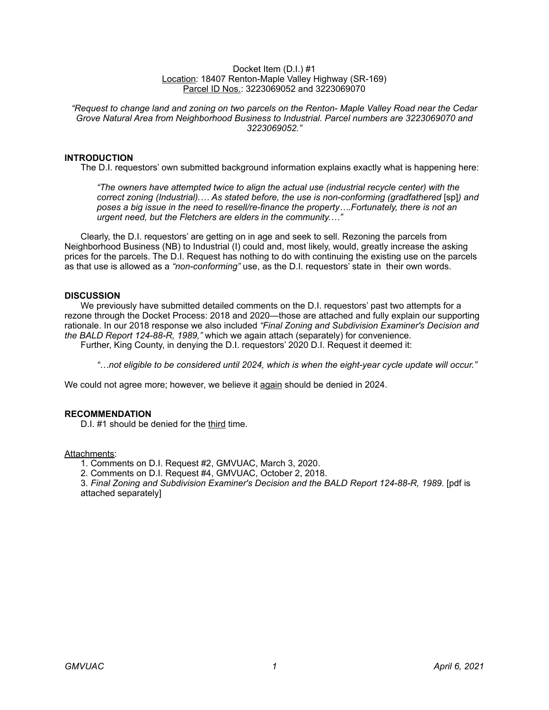#### Docket Item (D.I.) #1 Location: 18407 Renton-Maple Valley Highway (SR-169) Parcel ID Nos.: 3223069052 and 3223069070

*"Request to change land and zoning on two parcels on the Renton- Maple Valley Road near the Cedar Grove Natural Area from Neighborhood Business to Industrial. Parcel numbers are 3223069070 and 3223069052."*

# **INTRODUCTION**

The D.I. requestors' own submitted background information explains exactly what is happening here:

*"The owners have attempted twice to align the actual use (industrial recycle center) with the correct zoning (Industrial).… As stated before, the use is non-conforming (gradfathered* [sp]*) and poses a big issue in the need to resell/re-finance the property….Fortunately, there is not an urgent need, but the Fletchers are elders in the community.…"* 

Clearly, the D.I. requestors' are getting on in age and seek to sell. Rezoning the parcels from Neighborhood Business (NB) to Industrial (I) could and, most likely, would, greatly increase the asking prices for the parcels. The D.I. Request has nothing to do with continuing the existing use on the parcels as that use is allowed as a *"non-conforming"* use, as the D.I. requestors' state in their own words.

### **DISCUSSION**

We previously have submitted detailed comments on the D.I. requestors' past two attempts for a rezone through the Docket Process: 2018 and 2020—those are attached and fully explain our supporting rationale. In our 2018 response we also included *"Final Zoning and Subdivision Examiner's Decision and the BALD Report 124-88-R, 1989,"* which we again attach (separately) for convenience.

Further, King County, in denying the D.I. requestors' 2020 D.I. Request it deemed it:

*"…not eligible to be considered until 2024, which is when the eight-year cycle update will occur."* 

We could not agree more; however, we believe it again should be denied in 2024.

### **RECOMMENDATION**

D.I. #1 should be denied for the third time.

### Attachments:

1. Comments on D.I. Request #2, GMVUAC, March 3, 2020.

2. Comments on D.I. Request #4, GMVUAC, October 2, 2018.

3. *Final Zoning and Subdivision Examiner's Decision and the BALD Report 124-88-R, 1989*. [pdf is attached separately]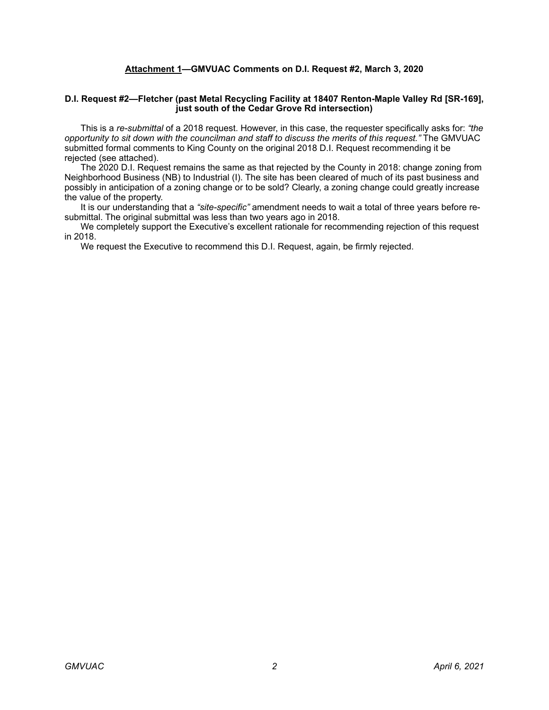# **Attachment 1—GMVUAC Comments on D.I. Request #2, March 3, 2020**

#### **D.I. Request #2—Fletcher (past Metal Recycling Facility at 18407 Renton-Maple Valley Rd [SR-169], just south of the Cedar Grove Rd intersection)**

 This is a *re-submittal* of a 2018 request. However, in this case, the requester specifically asks for: *"the opportunity to sit down with the councilman and staff to discuss the merits of this request."* The GMVUAC submitted formal comments to King County on the original 2018 D.I. Request recommending it be rejected (see attached).

 The 2020 D.I. Request remains the same as that rejected by the County in 2018: change zoning from Neighborhood Business (NB) to Industrial (I). The site has been cleared of much of its past business and possibly in anticipation of a zoning change or to be sold? Clearly, a zoning change could greatly increase the value of the property.

 It is our understanding that a *"site-specific"* amendment needs to wait a total of three years before resubmittal. The original submittal was less than two years ago in 2018.

 We completely support the Executive's excellent rationale for recommending rejection of this request in 2018.

We request the Executive to recommend this D.I. Request, again, be firmly rejected.